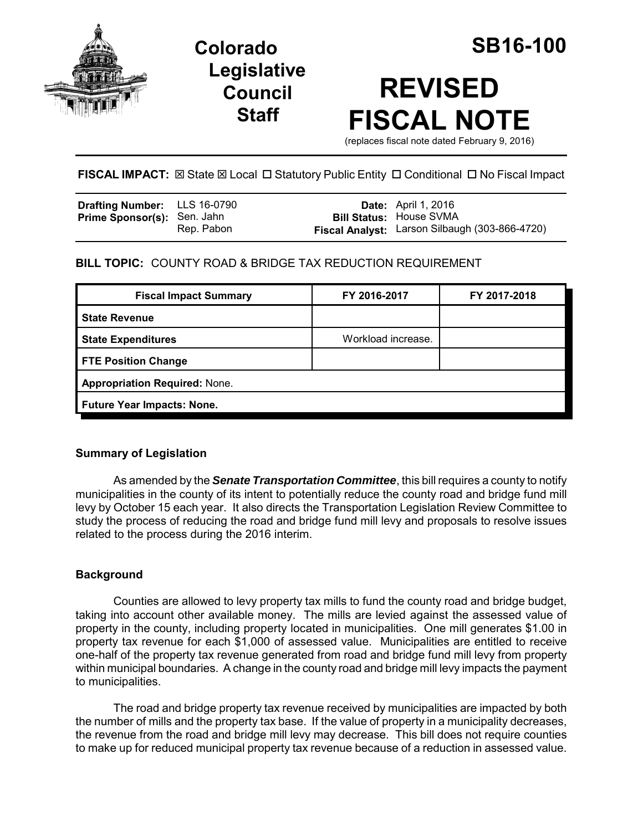

**Legislative Council Staff**

# **REVISED FISCAL NOTE**

(replaces fiscal note dated February 9, 2016)

## **FISCAL IMPACT:** ⊠ State ⊠ Local □ Statutory Public Entity □ Conditional □ No Fiscal Impact

| <b>Drafting Number:</b> LLS 16-0790 |            | <b>Date:</b> April 1, 2016                     |
|-------------------------------------|------------|------------------------------------------------|
| <b>Prime Sponsor(s):</b> Sen. Jahn  |            | <b>Bill Status: House SVMA</b>                 |
|                                     | Rep. Pabon | Fiscal Analyst: Larson Silbaugh (303-866-4720) |

## **BILL TOPIC:** COUNTY ROAD & BRIDGE TAX REDUCTION REQUIREMENT

| <b>Fiscal Impact Summary</b>         | FY 2016-2017       | FY 2017-2018 |  |  |
|--------------------------------------|--------------------|--------------|--|--|
| <b>State Revenue</b>                 |                    |              |  |  |
| <b>State Expenditures</b>            | Workload increase. |              |  |  |
| <b>FTE Position Change</b>           |                    |              |  |  |
| <b>Appropriation Required: None.</b> |                    |              |  |  |
| <b>Future Year Impacts: None.</b>    |                    |              |  |  |

## **Summary of Legislation**

As amended by the *Senate Transportation Committee*, this bill requires a county to notify municipalities in the county of its intent to potentially reduce the county road and bridge fund mill levy by October 15 each year. It also directs the Transportation Legislation Review Committee to study the process of reducing the road and bridge fund mill levy and proposals to resolve issues related to the process during the 2016 interim.

## **Background**

Counties are allowed to levy property tax mills to fund the county road and bridge budget, taking into account other available money. The mills are levied against the assessed value of property in the county, including property located in municipalities. One mill generates \$1.00 in property tax revenue for each \$1,000 of assessed value. Municipalities are entitled to receive one-half of the property tax revenue generated from road and bridge fund mill levy from property within municipal boundaries. A change in the county road and bridge mill levy impacts the payment to municipalities.

The road and bridge property tax revenue received by municipalities are impacted by both the number of mills and the property tax base. If the value of property in a municipality decreases, the revenue from the road and bridge mill levy may decrease. This bill does not require counties to make up for reduced municipal property tax revenue because of a reduction in assessed value.